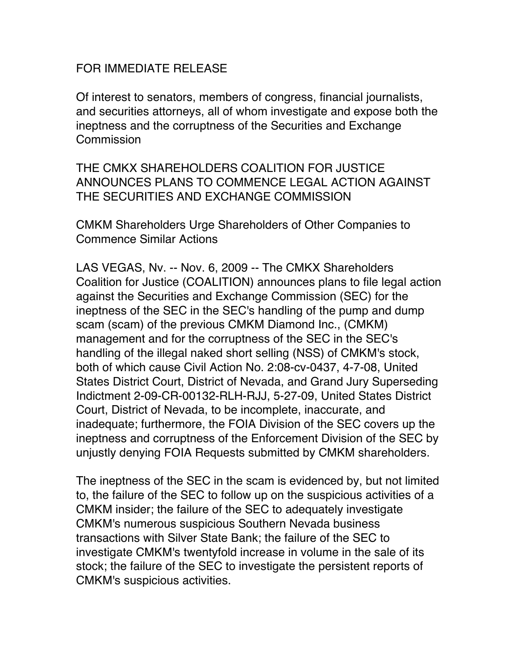## FOR IMMEDIATE RELEASE

Of interest to senators, members of congress, financial journalists, and securities attorneys, all of whom investigate and expose both the ineptness and the corruptness of the Securities and Exchange **Commission** 

THE CMKX SHAREHOLDERS COALITION FOR JUSTICE ANNOUNCES PLANS TO COMMENCE LEGAL ACTION AGAINST THE SECURITIES AND EXCHANGE COMMISSION

CMKM Shareholders Urge Shareholders of Other Companies to Commence Similar Actions

LAS VEGAS, Nv. -- Nov. 6, 2009 -- The CMKX Shareholders Coalition for Justice (COALITION) announces plans to file legal action against the Securities and Exchange Commission (SEC) for the ineptness of the SEC in the SEC's handling of the pump and dump scam (scam) of the previous CMKM Diamond Inc., (CMKM) management and for the corruptness of the SEC in the SEC's handling of the illegal naked short selling (NSS) of CMKM's stock, both of which cause Civil Action No. 2:08-cv-0437, 4-7-08, United States District Court, District of Nevada, and Grand Jury Superseding Indictment 2-09-CR-00132-RLH-RJJ, 5-27-09, United States District Court, District of Nevada, to be incomplete, inaccurate, and inadequate; furthermore, the FOIA Division of the SEC covers up the ineptness and corruptness of the Enforcement Division of the SEC by unjustly denying FOIA Requests submitted by CMKM shareholders.

The ineptness of the SEC in the scam is evidenced by, but not limited to, the failure of the SEC to follow up on the suspicious activities of a CMKM insider; the failure of the SEC to adequately investigate CMKM's numerous suspicious Southern Nevada business transactions with Silver State Bank; the failure of the SEC to investigate CMKM's twentyfold increase in volume in the sale of its stock; the failure of the SEC to investigate the persistent reports of CMKM's suspicious activities.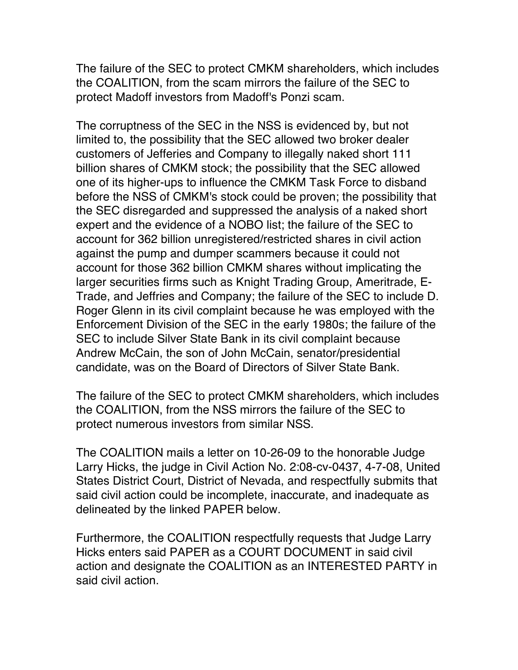The failure of the SEC to protect CMKM shareholders, which includes the COALITION, from the scam mirrors the failure of the SEC to protect Madoff investors from Madoff's Ponzi scam.

The corruptness of the SEC in the NSS is evidenced by, but not limited to, the possibility that the SEC allowed two broker dealer customers of Jefferies and Company to illegally naked short 111 billion shares of CMKM stock; the possibility that the SEC allowed one of its higher-ups to influence the CMKM Task Force to disband before the NSS of CMKM's stock could be proven; the possibility that the SEC disregarded and suppressed the analysis of a naked short expert and the evidence of a NOBO list; the failure of the SEC to account for 362 billion unregistered/restricted shares in civil action against the pump and dumper scammers because it could not account for those 362 billion CMKM shares without implicating the larger securities firms such as Knight Trading Group, Ameritrade, E-Trade, and Jeffries and Company; the failure of the SEC to include D. Roger Glenn in its civil complaint because he was employed with the Enforcement Division of the SEC in the early 1980s; the failure of the SEC to include Silver State Bank in its civil complaint because Andrew McCain, the son of John McCain, senator/presidential candidate, was on the Board of Directors of Silver State Bank.

The failure of the SEC to protect CMKM shareholders, which includes the COALITION, from the NSS mirrors the failure of the SEC to protect numerous investors from similar NSS.

The COALITION mails a letter on 10-26-09 to the honorable Judge Larry Hicks, the judge in Civil Action No. 2:08-cv-0437, 4-7-08, United States District Court, District of Nevada, and respectfully submits that said civil action could be incomplete, inaccurate, and inadequate as delineated by the linked PAPER below.

Furthermore, the COALITION respectfully requests that Judge Larry Hicks enters said PAPER as a COURT DOCUMENT in said civil action and designate the COALITION as an INTERESTED PARTY in said civil action.